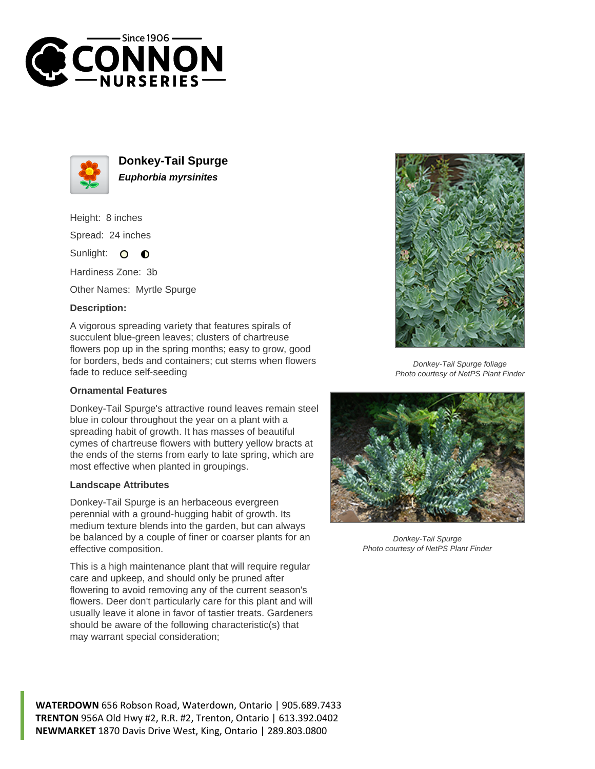



**Donkey-Tail Spurge Euphorbia myrsinites**

Height: 8 inches Spread: 24 inches

Sunlight: 0  $\bullet$ 

Hardiness Zone: 3b

Other Names: Myrtle Spurge

## **Description:**

A vigorous spreading variety that features spirals of succulent blue-green leaves; clusters of chartreuse flowers pop up in the spring months; easy to grow, good for borders, beds and containers; cut stems when flowers fade to reduce self-seeding

## **Ornamental Features**

Donkey-Tail Spurge's attractive round leaves remain steel blue in colour throughout the year on a plant with a spreading habit of growth. It has masses of beautiful cymes of chartreuse flowers with buttery yellow bracts at the ends of the stems from early to late spring, which are most effective when planted in groupings.

## **Landscape Attributes**

Donkey-Tail Spurge is an herbaceous evergreen perennial with a ground-hugging habit of growth. Its medium texture blends into the garden, but can always be balanced by a couple of finer or coarser plants for an effective composition.

This is a high maintenance plant that will require regular care and upkeep, and should only be pruned after flowering to avoid removing any of the current season's flowers. Deer don't particularly care for this plant and will usually leave it alone in favor of tastier treats. Gardeners should be aware of the following characteristic(s) that may warrant special consideration;



Donkey-Tail Spurge foliage Photo courtesy of NetPS Plant Finder



Donkey-Tail Spurge Photo courtesy of NetPS Plant Finder

**WATERDOWN** 656 Robson Road, Waterdown, Ontario | 905.689.7433 **TRENTON** 956A Old Hwy #2, R.R. #2, Trenton, Ontario | 613.392.0402 **NEWMARKET** 1870 Davis Drive West, King, Ontario | 289.803.0800